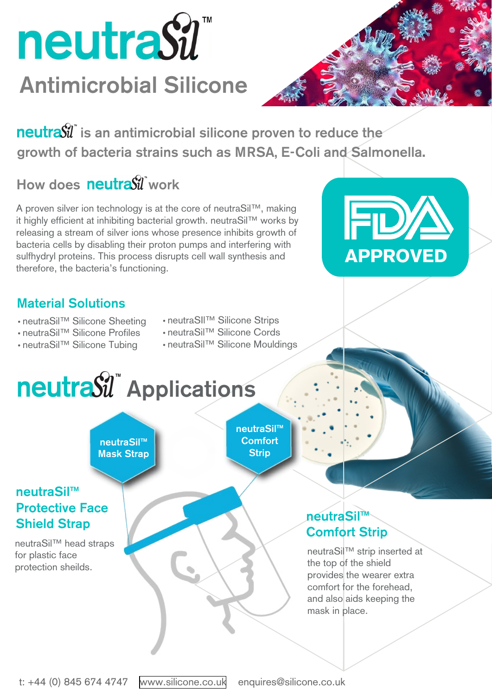



### Material Solutions

Protective Face

#### Shield Strap

neutraSil™ head straps for plastic face protection sheilds.

 $\textbf{n}$ eutra $\hat{\mathbf{W}}$  is an antimicrobial silicone proven to reduce the growth of bacteria strains such as MRSA, E-Coli and Salmonella.

# How does neutrasil work

- neutraSil™ Silicone Sheeting
- neutraSil™ Silicone Profiles
- neutraSil™ Silicone Tubing
- neutraSIl™ Silicone Strips
- neutraSil™ Silicone Cords
- neutraSil™ Silicone Mouldings

A proven silver ion technology is at the core of neutraSil™, making it highly efficient at inhibiting bacterial growth. neutraSil™ works by releasing a stream of silver ions whose presence inhibits growth of bacteria cells by disabling their proton pumps and interfering with sulfhydryl proteins. This process disrupts cell wall synthesis and therefore, the bacteria's functioning.

## neutraSil™ neutraSil" Applications neutraSil™ **Comfort Strip** neutraSil™ Mask Strap

**neutraSil™** 



#### Comfort Strip

neutraSil™ strip inserted at the top of the shield provides the wearer extra comfort for the forehead, and also aids keeping the mask in place.

t: +44 (0) 845 674 4747 [www.silicone.co.uk](http://www.silicone.co.uk/) enquires@silicone.co.uk